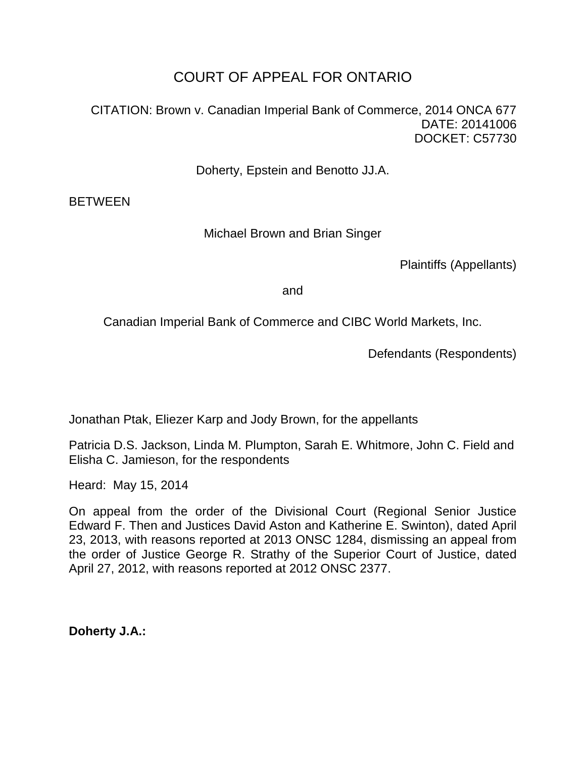# COURT OF APPEAL FOR ONTARIO

CITATION: Brown v. Canadian Imperial Bank of Commerce, 2014 ONCA 677 DATE: 20141006 DOCKET: C57730

Doherty, Epstein and Benotto JJ.A.

**BETWEEN** 

Michael Brown and Brian Singer

Plaintiffs (Appellants)

and

Canadian Imperial Bank of Commerce and CIBC World Markets, Inc.

Defendants (Respondents)

Jonathan Ptak, Eliezer Karp and Jody Brown, for the appellants

Patricia D.S. Jackson, Linda M. Plumpton, Sarah E. Whitmore, John C. Field and Elisha C. Jamieson, for the respondents

Heard: May 15, 2014

On appeal from the order of the Divisional Court (Regional Senior Justice Edward F. Then and Justices David Aston and Katherine E. Swinton), dated April 23, 2013, with reasons reported at 2013 ONSC 1284, dismissing an appeal from the order of Justice George R. Strathy of the Superior Court of Justice, dated April 27, 2012, with reasons reported at 2012 ONSC 2377.

**Doherty J.A.:**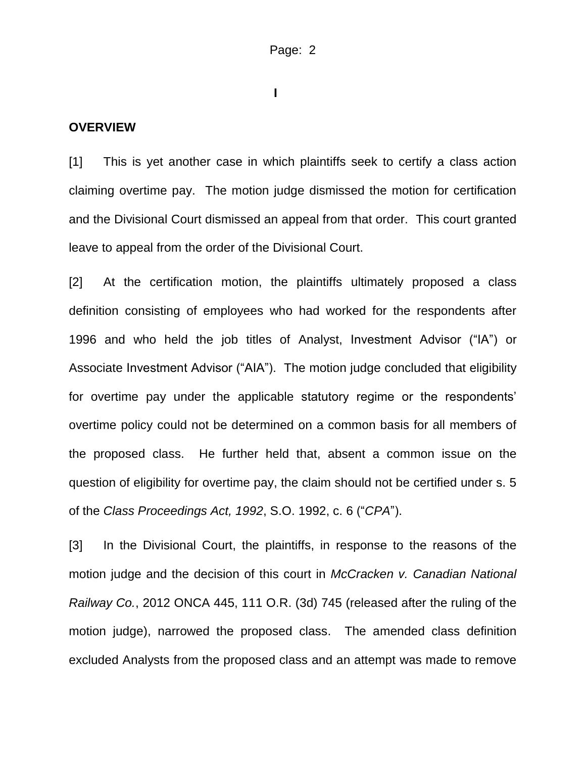**I**

#### **OVERVIEW**

[1] This is yet another case in which plaintiffs seek to certify a class action claiming overtime pay. The motion judge dismissed the motion for certification and the Divisional Court dismissed an appeal from that order. This court granted leave to appeal from the order of the Divisional Court.

[2] At the certification motion, the plaintiffs ultimately proposed a class definition consisting of employees who had worked for the respondents after 1996 and who held the job titles of Analyst, Investment Advisor ("IA") or Associate Investment Advisor ("AIA"). The motion judge concluded that eligibility for overtime pay under the applicable statutory regime or the respondents' overtime policy could not be determined on a common basis for all members of the proposed class. He further held that, absent a common issue on the question of eligibility for overtime pay, the claim should not be certified under s. 5 of the *Class Proceedings Act, 1992*, S.O. 1992, c. 6 ("*CPA*").

[3] In the Divisional Court, the plaintiffs, in response to the reasons of the motion judge and the decision of this court in *McCracken v. Canadian National Railway Co.*, 2012 ONCA 445, 111 O.R. (3d) 745 (released after the ruling of the motion judge), narrowed the proposed class. The amended class definition excluded Analysts from the proposed class and an attempt was made to remove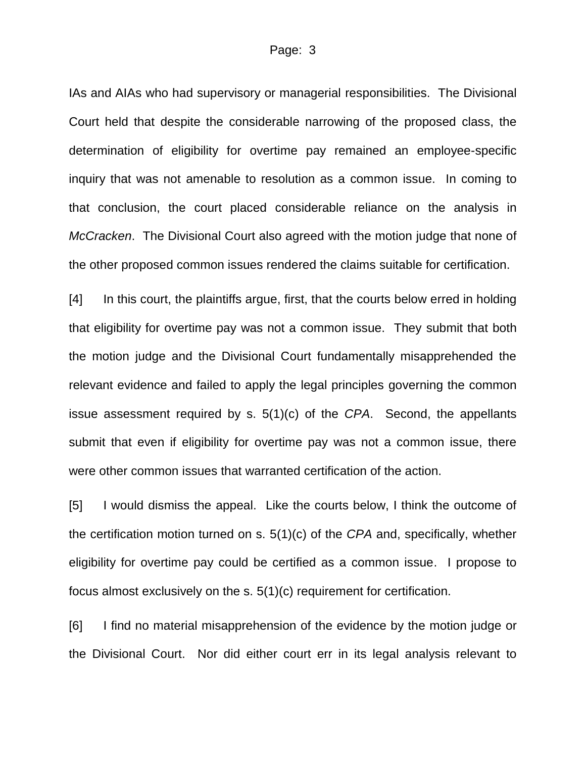IAs and AIAs who had supervisory or managerial responsibilities. The Divisional Court held that despite the considerable narrowing of the proposed class, the determination of eligibility for overtime pay remained an employee-specific inquiry that was not amenable to resolution as a common issue. In coming to that conclusion, the court placed considerable reliance on the analysis in *McCracken*. The Divisional Court also agreed with the motion judge that none of the other proposed common issues rendered the claims suitable for certification.

[4] In this court, the plaintiffs argue, first, that the courts below erred in holding that eligibility for overtime pay was not a common issue. They submit that both the motion judge and the Divisional Court fundamentally misapprehended the relevant evidence and failed to apply the legal principles governing the common issue assessment required by s. 5(1)(c) of the *CPA*. Second, the appellants submit that even if eligibility for overtime pay was not a common issue, there were other common issues that warranted certification of the action.

[5] I would dismiss the appeal. Like the courts below, I think the outcome of the certification motion turned on s. 5(1)(c) of the *CPA* and, specifically, whether eligibility for overtime pay could be certified as a common issue. I propose to focus almost exclusively on the s. 5(1)(c) requirement for certification.

[6] I find no material misapprehension of the evidence by the motion judge or the Divisional Court. Nor did either court err in its legal analysis relevant to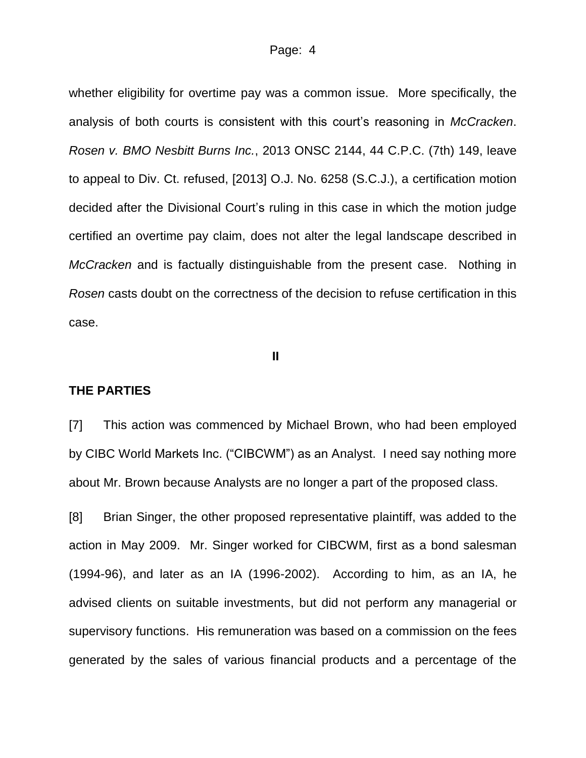whether eligibility for overtime pay was a common issue. More specifically, the analysis of both courts is consistent with this court's reasoning in *McCracken*. *Rosen v. BMO Nesbitt Burns Inc.*, 2013 ONSC 2144, 44 C.P.C. (7th) 149, leave to appeal to Div. Ct. refused, [2013] O.J. No. 6258 (S.C.J.), a certification motion decided after the Divisional Court's ruling in this case in which the motion judge certified an overtime pay claim, does not alter the legal landscape described in *McCracken* and is factually distinguishable from the present case. Nothing in *Rosen* casts doubt on the correctness of the decision to refuse certification in this case.

#### **II**

#### **THE PARTIES**

[7] This action was commenced by Michael Brown, who had been employed by CIBC World Markets Inc. ("CIBCWM") as an Analyst. I need say nothing more about Mr. Brown because Analysts are no longer a part of the proposed class.

[8] Brian Singer, the other proposed representative plaintiff, was added to the action in May 2009. Mr. Singer worked for CIBCWM, first as a bond salesman (1994-96), and later as an IA (1996-2002). According to him, as an IA, he advised clients on suitable investments, but did not perform any managerial or supervisory functions. His remuneration was based on a commission on the fees generated by the sales of various financial products and a percentage of the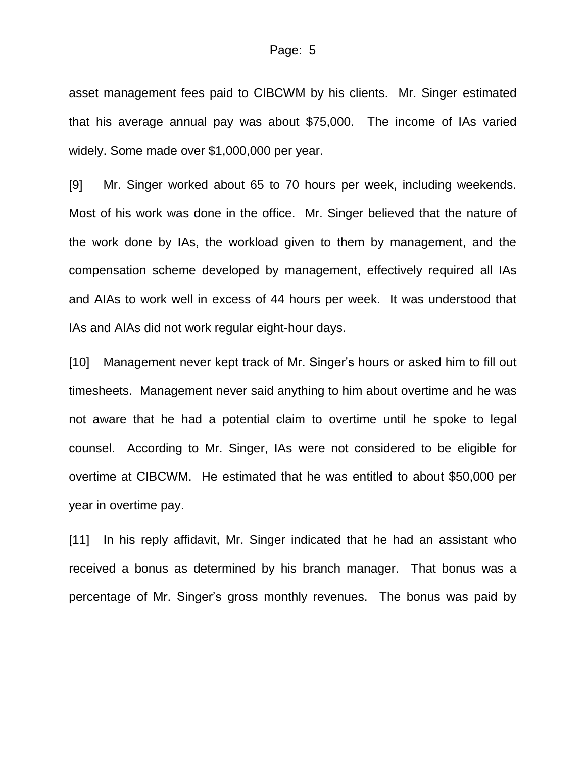asset management fees paid to CIBCWM by his clients. Mr. Singer estimated that his average annual pay was about \$75,000. The income of IAs varied widely. Some made over \$1,000,000 per year.

[9] Mr. Singer worked about 65 to 70 hours per week, including weekends. Most of his work was done in the office. Mr. Singer believed that the nature of the work done by IAs, the workload given to them by management, and the compensation scheme developed by management, effectively required all IAs and AIAs to work well in excess of 44 hours per week. It was understood that IAs and AIAs did not work regular eight-hour days.

[10] Management never kept track of Mr. Singer's hours or asked him to fill out timesheets. Management never said anything to him about overtime and he was not aware that he had a potential claim to overtime until he spoke to legal counsel. According to Mr. Singer, IAs were not considered to be eligible for overtime at CIBCWM. He estimated that he was entitled to about \$50,000 per year in overtime pay.

[11] In his reply affidavit, Mr. Singer indicated that he had an assistant who received a bonus as determined by his branch manager. That bonus was a percentage of Mr. Singer's gross monthly revenues. The bonus was paid by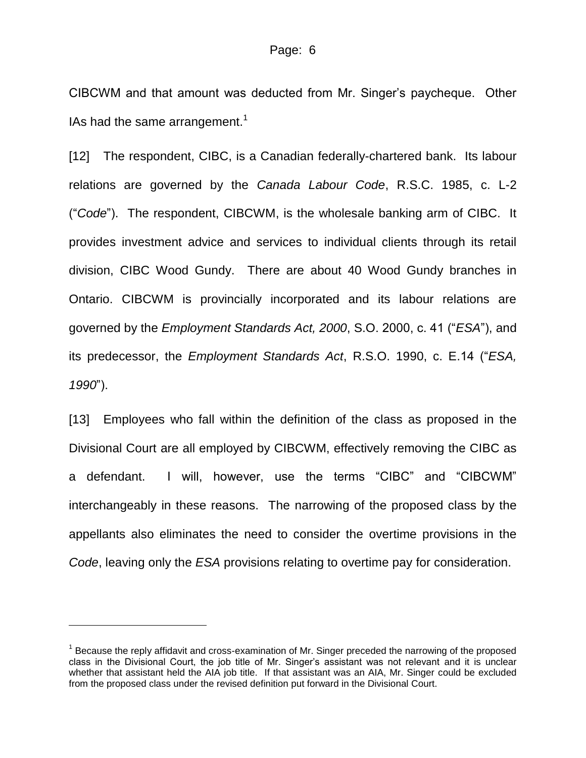CIBCWM and that amount was deducted from Mr. Singer's paycheque. Other IAs had the same arrangement.<sup>1</sup>

[12] The respondent, CIBC, is a Canadian federally-chartered bank. Its labour relations are governed by the *Canada Labour Code*, R.S.C. 1985, c. L-2 ("*Code*"). The respondent, CIBCWM, is the wholesale banking arm of CIBC. It provides investment advice and services to individual clients through its retail division, CIBC Wood Gundy. There are about 40 Wood Gundy branches in Ontario. CIBCWM is provincially incorporated and its labour relations are governed by the *Employment Standards Act, 2000*, S.O. 2000, c. 41 ("*ESA*"), and its predecessor, the *Employment Standards Act*, R.S.O. 1990, c. E.14 ("*ESA, 1990*").

[13] Employees who fall within the definition of the class as proposed in the Divisional Court are all employed by CIBCWM, effectively removing the CIBC as a defendant. I will, however, use the terms "CIBC" and "CIBCWM" interchangeably in these reasons. The narrowing of the proposed class by the appellants also eliminates the need to consider the overtime provisions in the *Code*, leaving only the *ESA* provisions relating to overtime pay for consideration.

l

<sup>&</sup>lt;sup>1</sup> Because the reply affidavit and cross-examination of Mr. Singer preceded the narrowing of the proposed class in the Divisional Court, the job title of Mr. Singer's assistant was not relevant and it is unclear whether that assistant held the AIA job title. If that assistant was an AIA, Mr. Singer could be excluded from the proposed class under the revised definition put forward in the Divisional Court.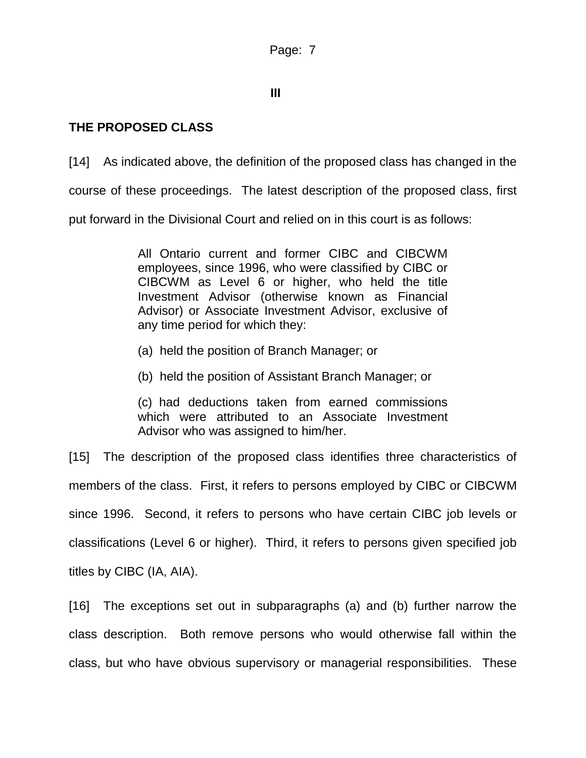# **III**

# **THE PROPOSED CLASS**

[14] As indicated above, the definition of the proposed class has changed in the course of these proceedings. The latest description of the proposed class, first put forward in the Divisional Court and relied on in this court is as follows:

> All Ontario current and former CIBC and CIBCWM employees, since 1996, who were classified by CIBC or CIBCWM as Level 6 or higher, who held the title Investment Advisor (otherwise known as Financial Advisor) or Associate Investment Advisor, exclusive of any time period for which they:

- (a) held the position of Branch Manager; or
- (b) held the position of Assistant Branch Manager; or

(c) had deductions taken from earned commissions which were attributed to an Associate Investment Advisor who was assigned to him/her.

[15] The description of the proposed class identifies three characteristics of members of the class. First, it refers to persons employed by CIBC or CIBCWM since 1996. Second, it refers to persons who have certain CIBC job levels or classifications (Level 6 or higher). Third, it refers to persons given specified job titles by CIBC (IA, AIA).

[16] The exceptions set out in subparagraphs (a) and (b) further narrow the class description. Both remove persons who would otherwise fall within the class, but who have obvious supervisory or managerial responsibilities. These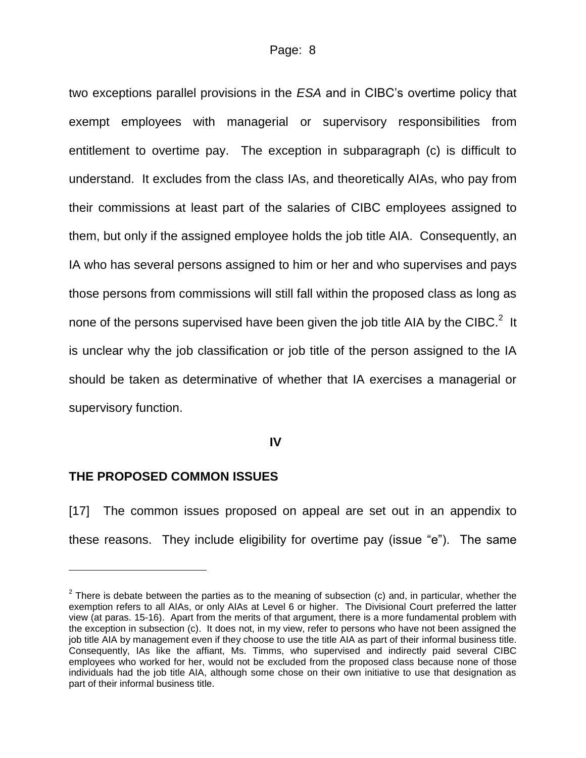two exceptions parallel provisions in the *ESA* and in CIBC's overtime policy that exempt employees with managerial or supervisory responsibilities from entitlement to overtime pay. The exception in subparagraph (c) is difficult to understand. It excludes from the class IAs, and theoretically AIAs, who pay from their commissions at least part of the salaries of CIBC employees assigned to them, but only if the assigned employee holds the job title AIA. Consequently, an IA who has several persons assigned to him or her and who supervises and pays those persons from commissions will still fall within the proposed class as long as none of the persons supervised have been given the job title AIA by the CIBC. $2$  It is unclear why the job classification or job title of the person assigned to the IA should be taken as determinative of whether that IA exercises a managerial or supervisory function.

#### **IV**

### **THE PROPOSED COMMON ISSUES**

[17] The common issues proposed on appeal are set out in an appendix to these reasons. They include eligibility for overtime pay (issue "e"). The same

 $2$  There is debate between the parties as to the meaning of subsection (c) and, in particular, whether the exemption refers to all AIAs, or only AIAs at Level 6 or higher. The Divisional Court preferred the latter view (at paras. 15-16). Apart from the merits of that argument, there is a more fundamental problem with the exception in subsection (c). It does not, in my view, refer to persons who have not been assigned the job title AIA by management even if they choose to use the title AIA as part of their informal business title. Consequently, IAs like the affiant, Ms. Timms, who supervised and indirectly paid several CIBC employees who worked for her, would not be excluded from the proposed class because none of those individuals had the job title AIA, although some chose on their own initiative to use that designation as part of their informal business title.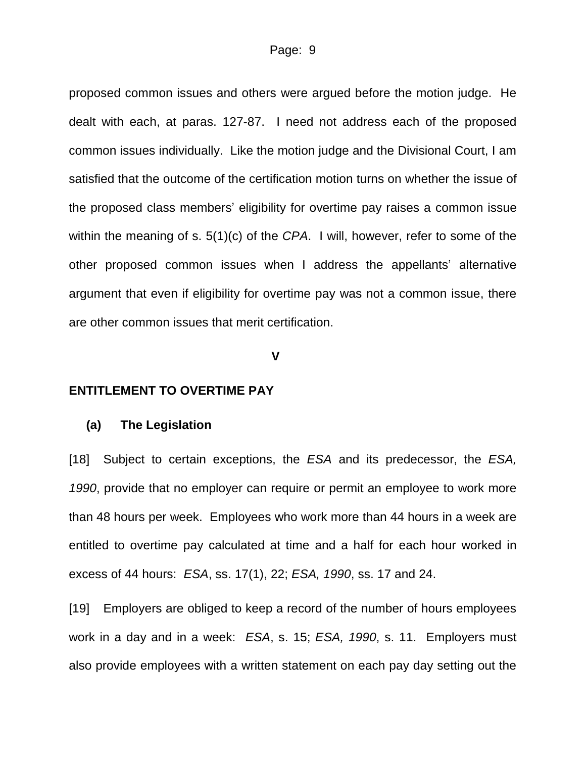proposed common issues and others were argued before the motion judge. He dealt with each, at paras. 127-87. I need not address each of the proposed common issues individually. Like the motion judge and the Divisional Court, I am satisfied that the outcome of the certification motion turns on whether the issue of the proposed class members' eligibility for overtime pay raises a common issue within the meaning of s. 5(1)(c) of the *CPA*. I will, however, refer to some of the other proposed common issues when I address the appellants' alternative argument that even if eligibility for overtime pay was not a common issue, there are other common issues that merit certification.

**V**

#### **ENTITLEMENT TO OVERTIME PAY**

#### **(a) The Legislation**

[18] Subject to certain exceptions, the *ESA* and its predecessor, the *ESA, 1990*, provide that no employer can require or permit an employee to work more than 48 hours per week. Employees who work more than 44 hours in a week are entitled to overtime pay calculated at time and a half for each hour worked in excess of 44 hours: *ESA*, ss. 17(1), 22; *ESA, 1990*, ss. 17 and 24.

[19] Employers are obliged to keep a record of the number of hours employees work in a day and in a week: *ESA*, s. 15; *ESA, 1990*, s. 11. Employers must also provide employees with a written statement on each pay day setting out the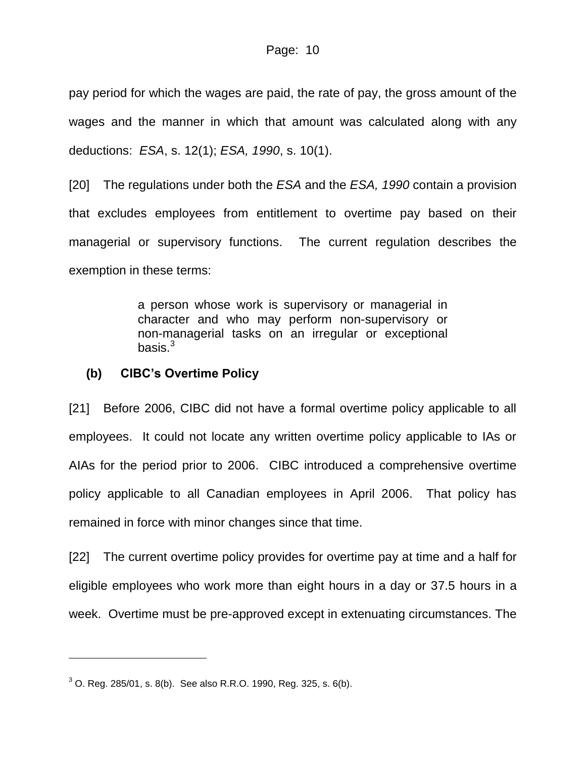pay period for which the wages are paid, the rate of pay, the gross amount of the wages and the manner in which that amount was calculated along with any deductions: *ESA*, s. 12(1); *ESA, 1990*, s. 10(1).

[20] The regulations under both the *ESA* and the *ESA, 1990* contain a provision that excludes employees from entitlement to overtime pay based on their managerial or supervisory functions. The current regulation describes the exemption in these terms:

> a person whose work is supervisory or managerial in character and who may perform non-supervisory or non-managerial tasks on an irregular or exceptional basis. $3\overline{3}$

### **(b) CIBC's Overtime Policy**

[21] Before 2006, CIBC did not have a formal overtime policy applicable to all employees. It could not locate any written overtime policy applicable to IAs or AIAs for the period prior to 2006. CIBC introduced a comprehensive overtime policy applicable to all Canadian employees in April 2006. That policy has remained in force with minor changes since that time.

[22] The current overtime policy provides for overtime pay at time and a half for eligible employees who work more than eight hours in a day or 37.5 hours in a week. Overtime must be pre-approved except in extenuating circumstances. The

l

 $3$  O. Reg. 285/01, s. 8(b). See also R.R.O. 1990, Reg. 325, s. 6(b).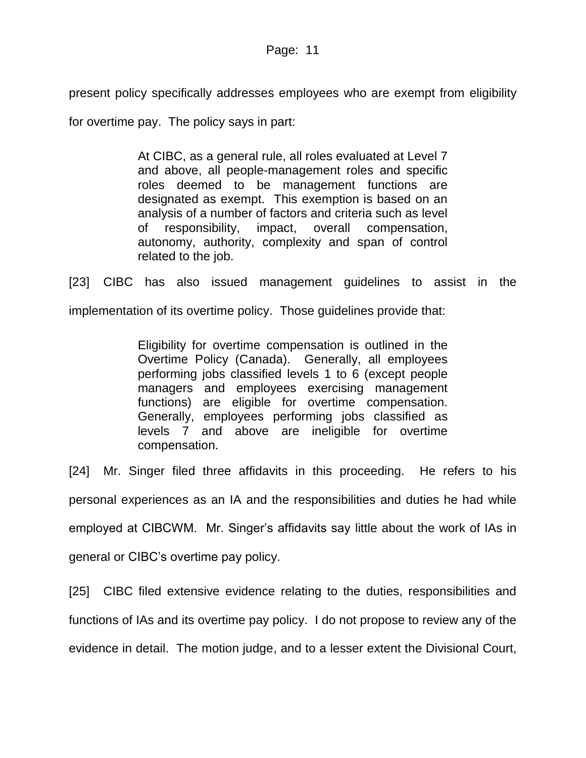present policy specifically addresses employees who are exempt from eligibility

for overtime pay. The policy says in part:

At CIBC, as a general rule, all roles evaluated at Level 7 and above, all people-management roles and specific roles deemed to be management functions are designated as exempt. This exemption is based on an analysis of a number of factors and criteria such as level of responsibility, impact, overall compensation, autonomy, authority, complexity and span of control related to the job.

[23] CIBC has also issued management guidelines to assist in the implementation of its overtime policy. Those guidelines provide that:

> Eligibility for overtime compensation is outlined in the Overtime Policy (Canada). Generally, all employees performing jobs classified levels 1 to 6 (except people managers and employees exercising management functions) are eligible for overtime compensation. Generally, employees performing jobs classified as levels 7 and above are ineligible for overtime compensation.

[24] Mr. Singer filed three affidavits in this proceeding. He refers to his personal experiences as an IA and the responsibilities and duties he had while employed at CIBCWM. Mr. Singer's affidavits say little about the work of IAs in general or CIBC's overtime pay policy.

[25] CIBC filed extensive evidence relating to the duties, responsibilities and functions of IAs and its overtime pay policy. I do not propose to review any of the evidence in detail. The motion judge, and to a lesser extent the Divisional Court,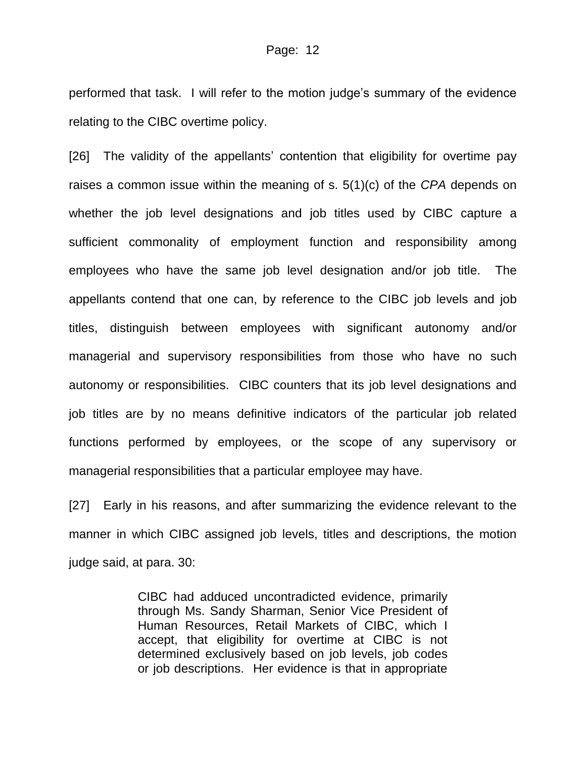performed that task. I will refer to the motion judge's summary of the evidence relating to the CIBC overtime policy.

[26] The validity of the appellants' contention that eligibility for overtime pay raises a common issue within the meaning of s. 5(1)(c) of the *CPA* depends on whether the job level designations and job titles used by CIBC capture a sufficient commonality of employment function and responsibility among employees who have the same job level designation and/or job title. The appellants contend that one can, by reference to the CIBC job levels and job titles, distinguish between employees with significant autonomy and/or managerial and supervisory responsibilities from those who have no such autonomy or responsibilities. CIBC counters that its job level designations and job titles are by no means definitive indicators of the particular job related functions performed by employees, or the scope of any supervisory or managerial responsibilities that a particular employee may have.

[27] Early in his reasons, and after summarizing the evidence relevant to the manner in which CIBC assigned job levels, titles and descriptions, the motion judge said, at para. 30:

> CIBC had adduced uncontradicted evidence, primarily through Ms. Sandy Sharman, Senior Vice President of Human Resources, Retail Markets of CIBC, which I accept, that eligibility for overtime at CIBC is not determined exclusively based on job levels, job codes or job descriptions. Her evidence is that in appropriate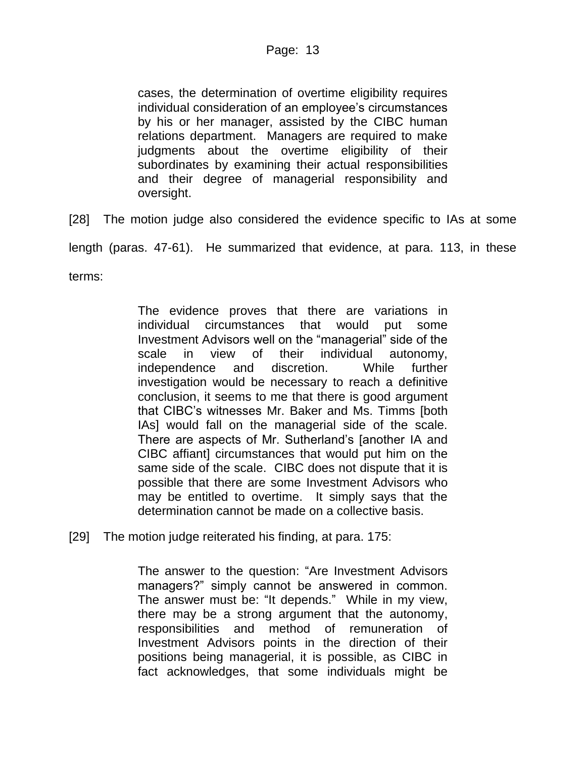cases, the determination of overtime eligibility requires individual consideration of an employee's circumstances by his or her manager, assisted by the CIBC human relations department. Managers are required to make judgments about the overtime eligibility of their subordinates by examining their actual responsibilities and their degree of managerial responsibility and oversight.

[28] The motion judge also considered the evidence specific to IAs at some

length (paras. 47-61). He summarized that evidence, at para. 113, in these

terms:

The evidence proves that there are variations in individual circumstances that would put some Investment Advisors well on the "managerial" side of the scale in view of their individual autonomy, independence and discretion. While further investigation would be necessary to reach a definitive conclusion, it seems to me that there is good argument that CIBC's witnesses Mr. Baker and Ms. Timms [both IAs] would fall on the managerial side of the scale. There are aspects of Mr. Sutherland's [another IA and CIBC affiant] circumstances that would put him on the same side of the scale. CIBC does not dispute that it is possible that there are some Investment Advisors who may be entitled to overtime. It simply says that the determination cannot be made on a collective basis.

[29] The motion judge reiterated his finding, at para. 175:

The answer to the question: "Are Investment Advisors managers?" simply cannot be answered in common. The answer must be: "It depends." While in my view, there may be a strong argument that the autonomy, responsibilities and method of remuneration of Investment Advisors points in the direction of their positions being managerial, it is possible, as CIBC in fact acknowledges, that some individuals might be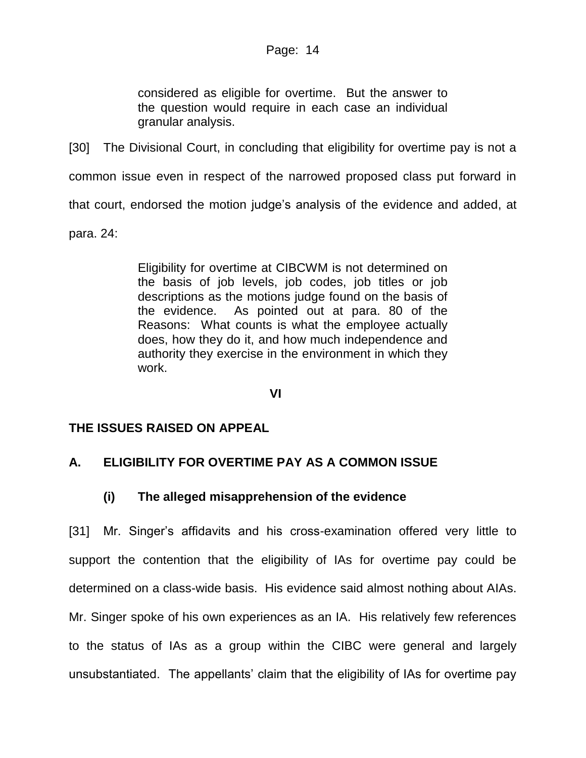considered as eligible for overtime. But the answer to the question would require in each case an individual granular analysis.

[30] The Divisional Court, in concluding that eligibility for overtime pay is not a common issue even in respect of the narrowed proposed class put forward in that court, endorsed the motion judge's analysis of the evidence and added, at para. 24:

> Eligibility for overtime at CIBCWM is not determined on the basis of job levels, job codes, job titles or job descriptions as the motions judge found on the basis of the evidence. As pointed out at para. 80 of the Reasons: What counts is what the employee actually does, how they do it, and how much independence and authority they exercise in the environment in which they work.

> > **VI**

# **THE ISSUES RAISED ON APPEAL**

# **A. ELIGIBILITY FOR OVERTIME PAY AS A COMMON ISSUE**

# **(i) The alleged misapprehension of the evidence**

[31] Mr. Singer's affidavits and his cross-examination offered very little to support the contention that the eligibility of IAs for overtime pay could be determined on a class-wide basis. His evidence said almost nothing about AIAs. Mr. Singer spoke of his own experiences as an IA. His relatively few references to the status of IAs as a group within the CIBC were general and largely unsubstantiated. The appellants' claim that the eligibility of IAs for overtime pay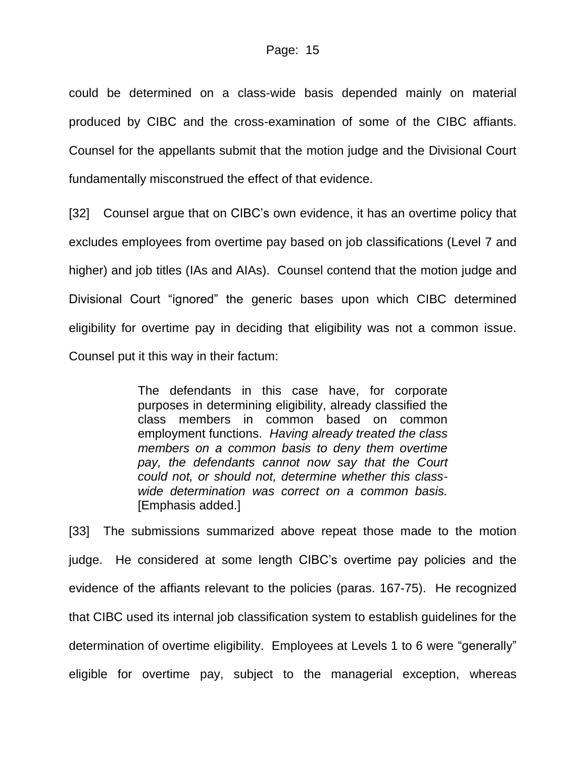could be determined on a class-wide basis depended mainly on material produced by CIBC and the cross-examination of some of the CIBC affiants. Counsel for the appellants submit that the motion judge and the Divisional Court fundamentally misconstrued the effect of that evidence.

[32] Counsel argue that on CIBC's own evidence, it has an overtime policy that excludes employees from overtime pay based on job classifications (Level 7 and higher) and job titles (IAs and AIAs). Counsel contend that the motion judge and Divisional Court "ignored" the generic bases upon which CIBC determined eligibility for overtime pay in deciding that eligibility was not a common issue. Counsel put it this way in their factum:

> The defendants in this case have, for corporate purposes in determining eligibility, already classified the class members in common based on common employment functions. *Having already treated the class members on a common basis to deny them overtime pay, the defendants cannot now say that the Court could not, or should not, determine whether this classwide determination was correct on a common basis.* [Emphasis added.]

[33] The submissions summarized above repeat those made to the motion judge. He considered at some length CIBC's overtime pay policies and the evidence of the affiants relevant to the policies (paras. 167-75). He recognized that CIBC used its internal job classification system to establish guidelines for the determination of overtime eligibility. Employees at Levels 1 to 6 were "generally" eligible for overtime pay, subject to the managerial exception, whereas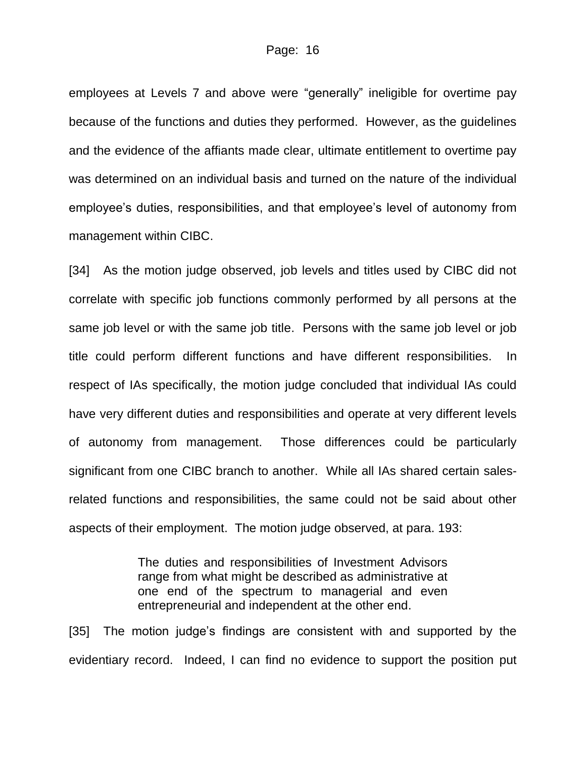employees at Levels 7 and above were "generally" ineligible for overtime pay because of the functions and duties they performed. However, as the guidelines and the evidence of the affiants made clear, ultimate entitlement to overtime pay was determined on an individual basis and turned on the nature of the individual employee's duties, responsibilities, and that employee's level of autonomy from management within CIBC.

[34] As the motion judge observed, job levels and titles used by CIBC did not correlate with specific job functions commonly performed by all persons at the same job level or with the same job title. Persons with the same job level or job title could perform different functions and have different responsibilities. In respect of IAs specifically, the motion judge concluded that individual IAs could have very different duties and responsibilities and operate at very different levels of autonomy from management. Those differences could be particularly significant from one CIBC branch to another. While all IAs shared certain salesrelated functions and responsibilities, the same could not be said about other aspects of their employment. The motion judge observed, at para. 193:

> The duties and responsibilities of Investment Advisors range from what might be described as administrative at one end of the spectrum to managerial and even entrepreneurial and independent at the other end.

[35] The motion judge's findings are consistent with and supported by the evidentiary record. Indeed, I can find no evidence to support the position put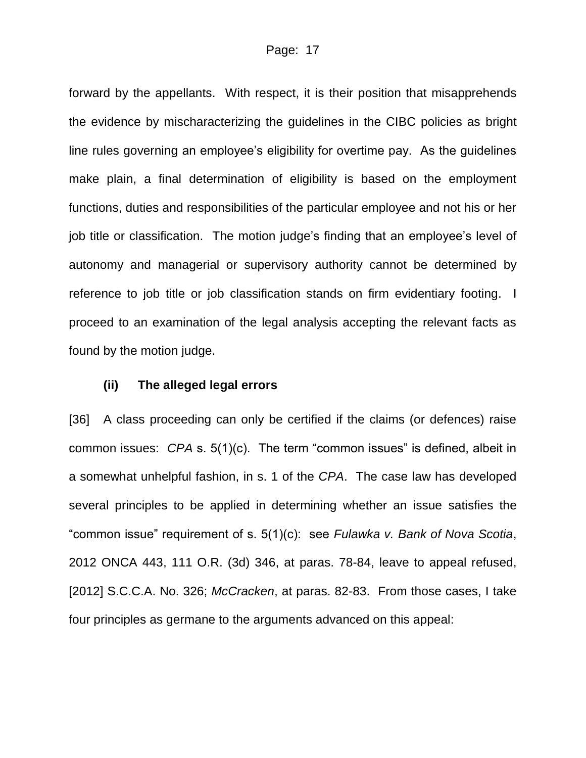forward by the appellants. With respect, it is their position that misapprehends the evidence by mischaracterizing the guidelines in the CIBC policies as bright line rules governing an employee's eligibility for overtime pay. As the guidelines make plain, a final determination of eligibility is based on the employment functions, duties and responsibilities of the particular employee and not his or her job title or classification. The motion judge's finding that an employee's level of autonomy and managerial or supervisory authority cannot be determined by reference to job title or job classification stands on firm evidentiary footing. I proceed to an examination of the legal analysis accepting the relevant facts as found by the motion judge.

#### **(ii) The alleged legal errors**

[36] A class proceeding can only be certified if the claims (or defences) raise common issues: *CPA* s. 5(1)(c). The term "common issues" is defined, albeit in a somewhat unhelpful fashion, in s. 1 of the *CPA*. The case law has developed several principles to be applied in determining whether an issue satisfies the "common issue" requirement of s. 5(1)(c): see *Fulawka v. Bank of Nova Scotia*, 2012 ONCA 443, 111 O.R. (3d) 346, at paras. 78-84, leave to appeal refused, [2012] S.C.C.A. No. 326; *McCracken*, at paras. 82-83. From those cases, I take four principles as germane to the arguments advanced on this appeal: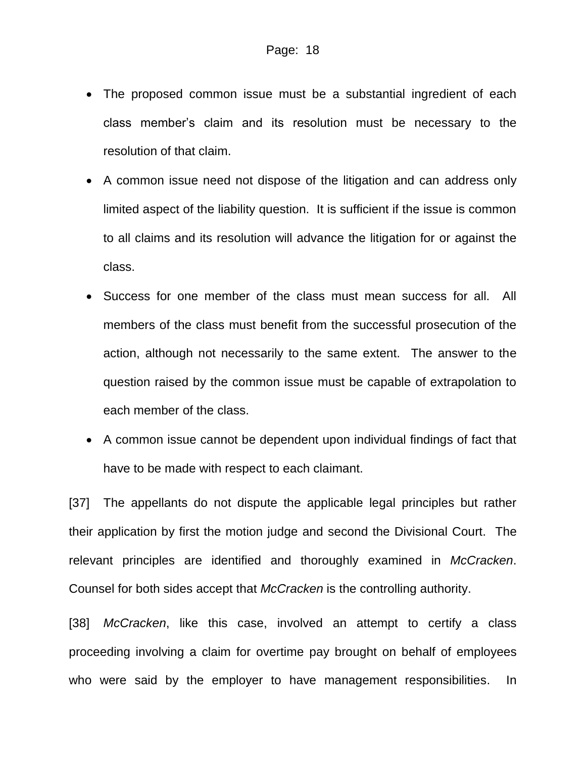- The proposed common issue must be a substantial ingredient of each class member's claim and its resolution must be necessary to the resolution of that claim.
- A common issue need not dispose of the litigation and can address only limited aspect of the liability question. It is sufficient if the issue is common to all claims and its resolution will advance the litigation for or against the class.
- Success for one member of the class must mean success for all. All members of the class must benefit from the successful prosecution of the action, although not necessarily to the same extent. The answer to the question raised by the common issue must be capable of extrapolation to each member of the class.
- A common issue cannot be dependent upon individual findings of fact that have to be made with respect to each claimant.

[37] The appellants do not dispute the applicable legal principles but rather their application by first the motion judge and second the Divisional Court. The relevant principles are identified and thoroughly examined in *McCracken*. Counsel for both sides accept that *McCracken* is the controlling authority.

[38] *McCracken*, like this case, involved an attempt to certify a class proceeding involving a claim for overtime pay brought on behalf of employees who were said by the employer to have management responsibilities. In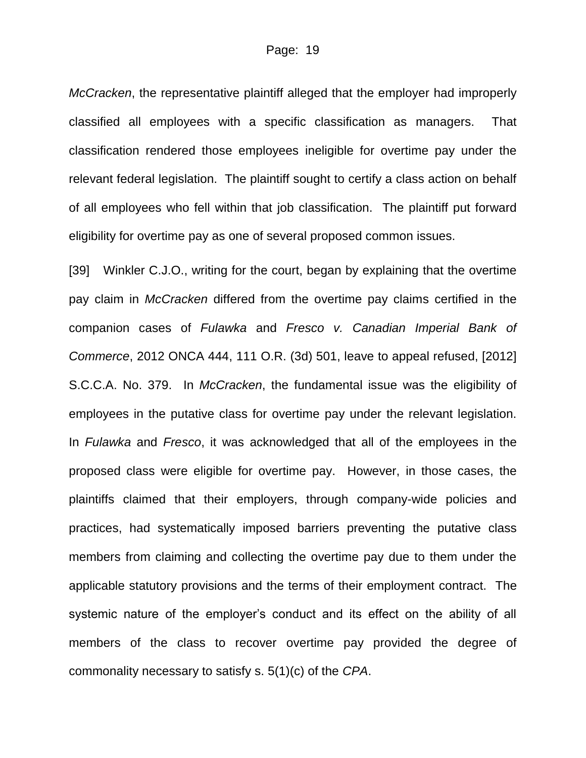*McCracken*, the representative plaintiff alleged that the employer had improperly classified all employees with a specific classification as managers. That classification rendered those employees ineligible for overtime pay under the relevant federal legislation. The plaintiff sought to certify a class action on behalf of all employees who fell within that job classification. The plaintiff put forward eligibility for overtime pay as one of several proposed common issues.

[39] Winkler C.J.O., writing for the court, began by explaining that the overtime pay claim in *McCracken* differed from the overtime pay claims certified in the companion cases of *Fulawka* and *Fresco v. Canadian Imperial Bank of Commerce*, 2012 ONCA 444, 111 O.R. (3d) 501, leave to appeal refused, [2012] S.C.C.A. No. 379. In *McCracken*, the fundamental issue was the eligibility of employees in the putative class for overtime pay under the relevant legislation. In *Fulawka* and *Fresco*, it was acknowledged that all of the employees in the proposed class were eligible for overtime pay. However, in those cases, the plaintiffs claimed that their employers, through company-wide policies and practices, had systematically imposed barriers preventing the putative class members from claiming and collecting the overtime pay due to them under the applicable statutory provisions and the terms of their employment contract. The systemic nature of the employer's conduct and its effect on the ability of all members of the class to recover overtime pay provided the degree of commonality necessary to satisfy s. 5(1)(c) of the *CPA*.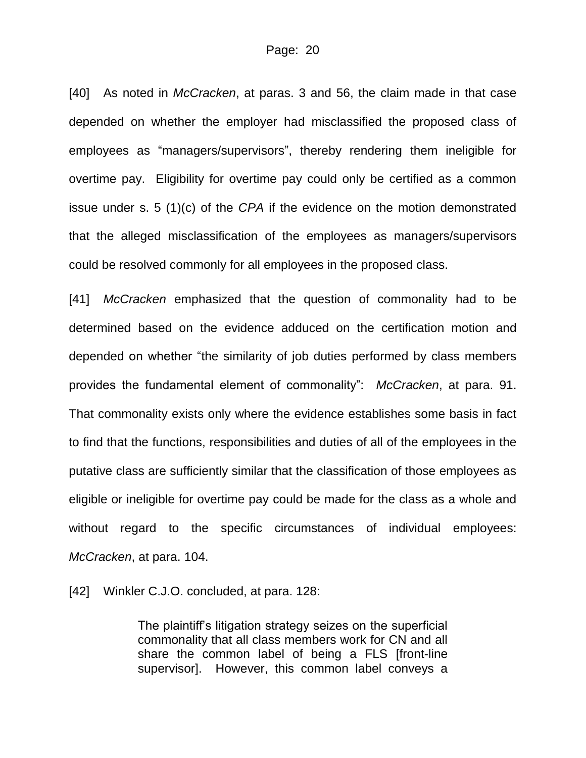[40] As noted in *McCracken*, at paras. 3 and 56, the claim made in that case depended on whether the employer had misclassified the proposed class of employees as "managers/supervisors", thereby rendering them ineligible for overtime pay. Eligibility for overtime pay could only be certified as a common issue under s. 5 (1)(c) of the *CPA* if the evidence on the motion demonstrated that the alleged misclassification of the employees as managers/supervisors could be resolved commonly for all employees in the proposed class.

[41] *McCracken* emphasized that the question of commonality had to be determined based on the evidence adduced on the certification motion and depended on whether "the similarity of job duties performed by class members provides the fundamental element of commonality": *McCracken*, at para. 91. That commonality exists only where the evidence establishes some basis in fact to find that the functions, responsibilities and duties of all of the employees in the putative class are sufficiently similar that the classification of those employees as eligible or ineligible for overtime pay could be made for the class as a whole and without regard to the specific circumstances of individual employees: *McCracken*, at para. 104.

[42] Winkler C.J.O. concluded, at para. 128:

The plaintiff's litigation strategy seizes on the superficial commonality that all class members work for CN and all share the common label of being a FLS [front-line supervisor]. However, this common label conveys a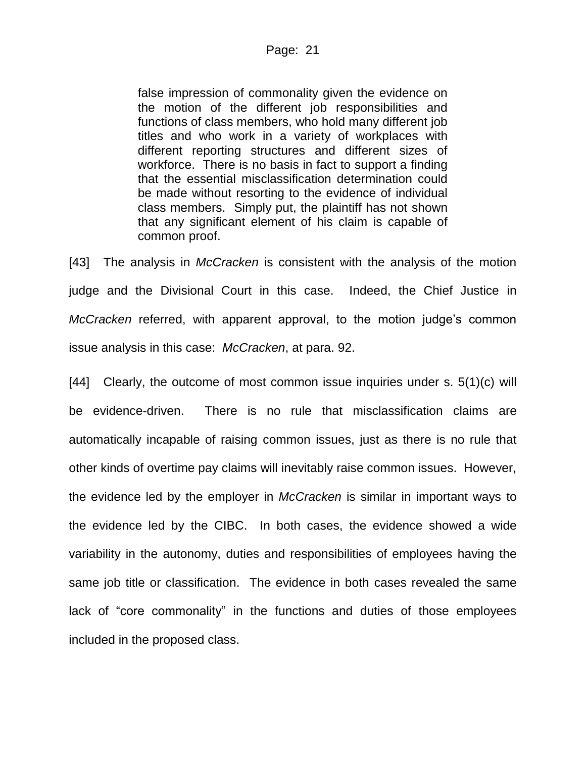false impression of commonality given the evidence on the motion of the different job responsibilities and functions of class members, who hold many different job titles and who work in a variety of workplaces with different reporting structures and different sizes of workforce. There is no basis in fact to support a finding that the essential misclassification determination could be made without resorting to the evidence of individual class members. Simply put, the plaintiff has not shown that any significant element of his claim is capable of common proof.

[43] The analysis in *McCracken* is consistent with the analysis of the motion judge and the Divisional Court in this case. Indeed, the Chief Justice in *McCracken* referred, with apparent approval, to the motion judge's common issue analysis in this case: *McCracken*, at para. 92.

[44] Clearly, the outcome of most common issue inquiries under s. 5(1)(c) will be evidence-driven. There is no rule that misclassification claims are automatically incapable of raising common issues, just as there is no rule that other kinds of overtime pay claims will inevitably raise common issues. However, the evidence led by the employer in *McCracken* is similar in important ways to the evidence led by the CIBC. In both cases, the evidence showed a wide variability in the autonomy, duties and responsibilities of employees having the same job title or classification. The evidence in both cases revealed the same lack of "core commonality" in the functions and duties of those employees included in the proposed class.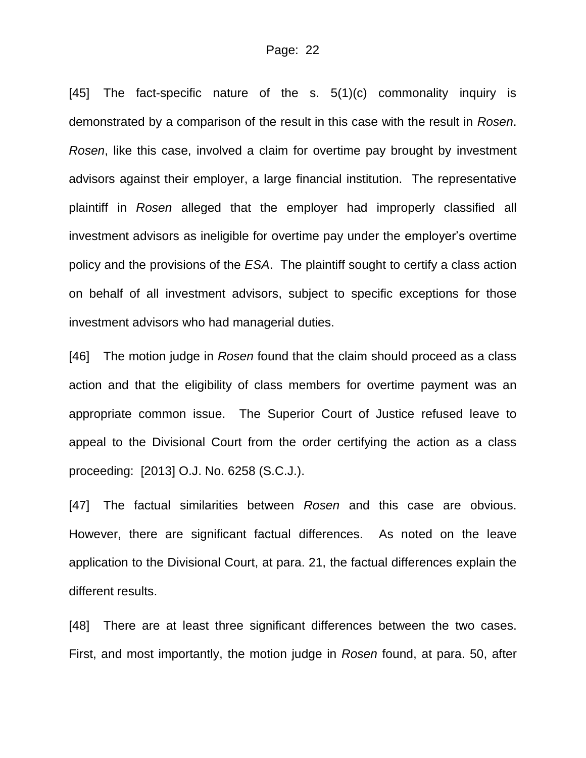[45] The fact-specific nature of the s.  $5(1)(c)$  commonality inquiry is demonstrated by a comparison of the result in this case with the result in *Rosen*. *Rosen*, like this case, involved a claim for overtime pay brought by investment advisors against their employer, a large financial institution. The representative plaintiff in *Rosen* alleged that the employer had improperly classified all investment advisors as ineligible for overtime pay under the employer's overtime policy and the provisions of the *ESA*. The plaintiff sought to certify a class action on behalf of all investment advisors, subject to specific exceptions for those investment advisors who had managerial duties.

[46] The motion judge in *Rosen* found that the claim should proceed as a class action and that the eligibility of class members for overtime payment was an appropriate common issue. The Superior Court of Justice refused leave to appeal to the Divisional Court from the order certifying the action as a class proceeding: [2013] O.J. No. 6258 (S.C.J.).

[47] The factual similarities between *Rosen* and this case are obvious. However, there are significant factual differences. As noted on the leave application to the Divisional Court, at para. 21, the factual differences explain the different results.

[48] There are at least three significant differences between the two cases. First, and most importantly, the motion judge in *Rosen* found, at para. 50, after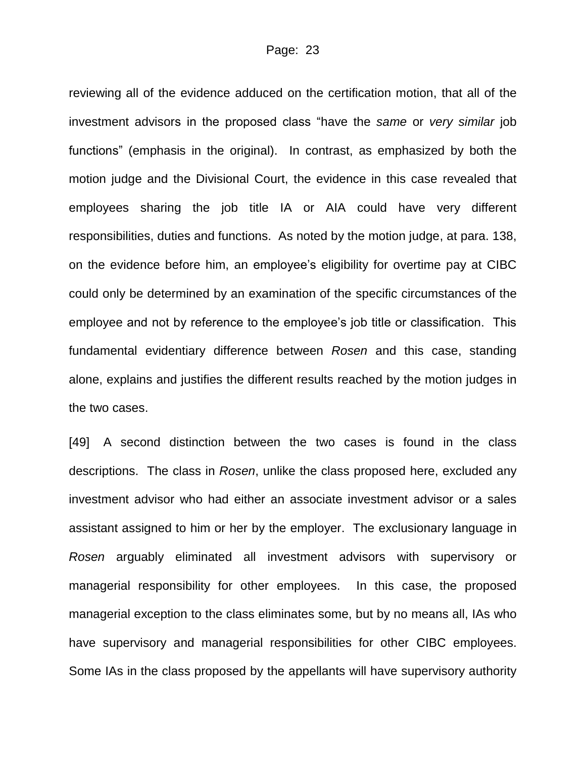reviewing all of the evidence adduced on the certification motion, that all of the investment advisors in the proposed class "have the *same* or *very similar* job functions" (emphasis in the original). In contrast, as emphasized by both the motion judge and the Divisional Court, the evidence in this case revealed that employees sharing the job title IA or AIA could have very different responsibilities, duties and functions. As noted by the motion judge, at para. 138, on the evidence before him, an employee's eligibility for overtime pay at CIBC could only be determined by an examination of the specific circumstances of the employee and not by reference to the employee's job title or classification. This fundamental evidentiary difference between *Rosen* and this case, standing alone, explains and justifies the different results reached by the motion judges in the two cases.

[49] A second distinction between the two cases is found in the class descriptions. The class in *Rosen*, unlike the class proposed here, excluded any investment advisor who had either an associate investment advisor or a sales assistant assigned to him or her by the employer. The exclusionary language in *Rosen* arguably eliminated all investment advisors with supervisory or managerial responsibility for other employees. In this case, the proposed managerial exception to the class eliminates some, but by no means all, IAs who have supervisory and managerial responsibilities for other CIBC employees. Some IAs in the class proposed by the appellants will have supervisory authority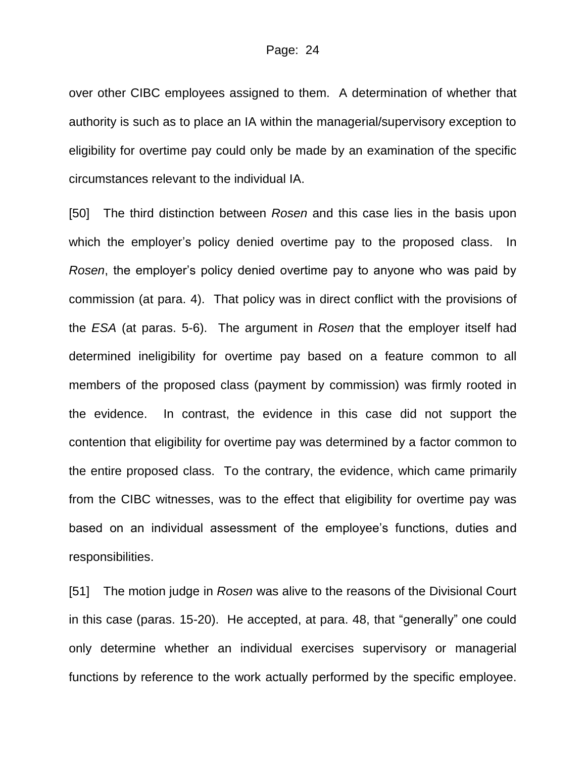over other CIBC employees assigned to them. A determination of whether that authority is such as to place an IA within the managerial/supervisory exception to eligibility for overtime pay could only be made by an examination of the specific circumstances relevant to the individual IA.

[50] The third distinction between *Rosen* and this case lies in the basis upon which the employer's policy denied overtime pay to the proposed class. In *Rosen*, the employer's policy denied overtime pay to anyone who was paid by commission (at para. 4). That policy was in direct conflict with the provisions of the *ESA* (at paras. 5-6). The argument in *Rosen* that the employer itself had determined ineligibility for overtime pay based on a feature common to all members of the proposed class (payment by commission) was firmly rooted in the evidence. In contrast, the evidence in this case did not support the contention that eligibility for overtime pay was determined by a factor common to the entire proposed class. To the contrary, the evidence, which came primarily from the CIBC witnesses, was to the effect that eligibility for overtime pay was based on an individual assessment of the employee's functions, duties and responsibilities.

[51] The motion judge in *Rosen* was alive to the reasons of the Divisional Court in this case (paras. 15-20). He accepted, at para. 48, that "generally" one could only determine whether an individual exercises supervisory or managerial functions by reference to the work actually performed by the specific employee.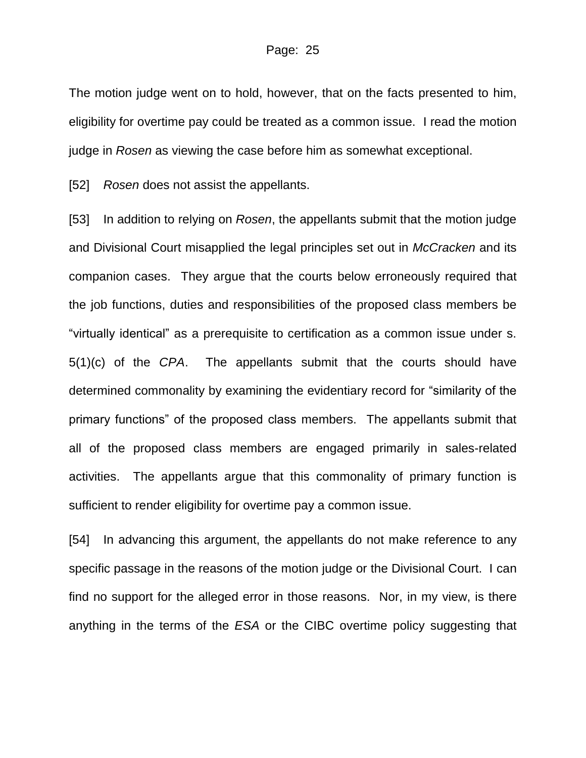The motion judge went on to hold, however, that on the facts presented to him, eligibility for overtime pay could be treated as a common issue. I read the motion judge in *Rosen* as viewing the case before him as somewhat exceptional.

[52] *Rosen* does not assist the appellants.

[53] In addition to relying on *Rosen*, the appellants submit that the motion judge and Divisional Court misapplied the legal principles set out in *McCracken* and its companion cases. They argue that the courts below erroneously required that the job functions, duties and responsibilities of the proposed class members be "virtually identical" as a prerequisite to certification as a common issue under s. 5(1)(c) of the *CPA*. The appellants submit that the courts should have determined commonality by examining the evidentiary record for "similarity of the primary functions" of the proposed class members. The appellants submit that all of the proposed class members are engaged primarily in sales-related activities. The appellants argue that this commonality of primary function is sufficient to render eligibility for overtime pay a common issue.

[54] In advancing this argument, the appellants do not make reference to any specific passage in the reasons of the motion judge or the Divisional Court. I can find no support for the alleged error in those reasons. Nor, in my view, is there anything in the terms of the *ESA* or the CIBC overtime policy suggesting that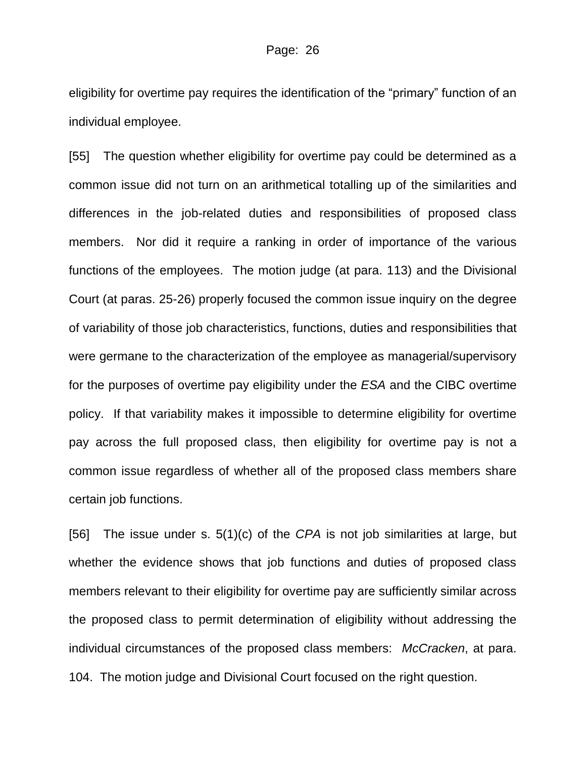eligibility for overtime pay requires the identification of the "primary" function of an individual employee.

[55] The question whether eligibility for overtime pay could be determined as a common issue did not turn on an arithmetical totalling up of the similarities and differences in the job-related duties and responsibilities of proposed class members. Nor did it require a ranking in order of importance of the various functions of the employees. The motion judge (at para. 113) and the Divisional Court (at paras. 25-26) properly focused the common issue inquiry on the degree of variability of those job characteristics, functions, duties and responsibilities that were germane to the characterization of the employee as managerial/supervisory for the purposes of overtime pay eligibility under the *ESA* and the CIBC overtime policy. If that variability makes it impossible to determine eligibility for overtime pay across the full proposed class, then eligibility for overtime pay is not a common issue regardless of whether all of the proposed class members share certain job functions.

[56] The issue under s. 5(1)(c) of the *CPA* is not job similarities at large, but whether the evidence shows that job functions and duties of proposed class members relevant to their eligibility for overtime pay are sufficiently similar across the proposed class to permit determination of eligibility without addressing the individual circumstances of the proposed class members: *McCracken*, at para. 104. The motion judge and Divisional Court focused on the right question.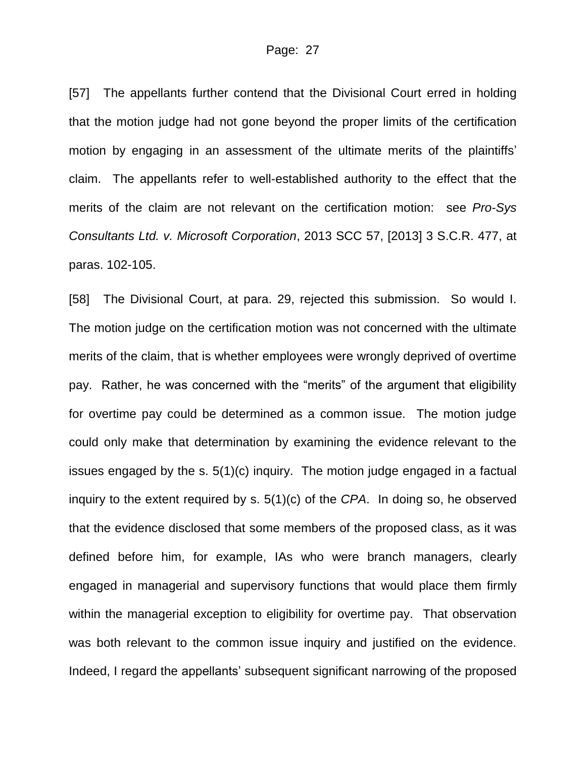[57] The appellants further contend that the Divisional Court erred in holding that the motion judge had not gone beyond the proper limits of the certification motion by engaging in an assessment of the ultimate merits of the plaintiffs' claim. The appellants refer to well-established authority to the effect that the merits of the claim are not relevant on the certification motion: see *Pro-Sys Consultants Ltd. v. Microsoft Corporation*, 2013 SCC 57, [2013] 3 S.C.R. 477, at paras. 102-105.

[58] The Divisional Court, at para. 29, rejected this submission. So would I. The motion judge on the certification motion was not concerned with the ultimate merits of the claim, that is whether employees were wrongly deprived of overtime pay. Rather, he was concerned with the "merits" of the argument that eligibility for overtime pay could be determined as a common issue. The motion judge could only make that determination by examining the evidence relevant to the issues engaged by the s. 5(1)(c) inquiry. The motion judge engaged in a factual inquiry to the extent required by s. 5(1)(c) of the *CPA*. In doing so, he observed that the evidence disclosed that some members of the proposed class, as it was defined before him, for example, IAs who were branch managers, clearly engaged in managerial and supervisory functions that would place them firmly within the managerial exception to eligibility for overtime pay. That observation was both relevant to the common issue inquiry and justified on the evidence. Indeed, I regard the appellants' subsequent significant narrowing of the proposed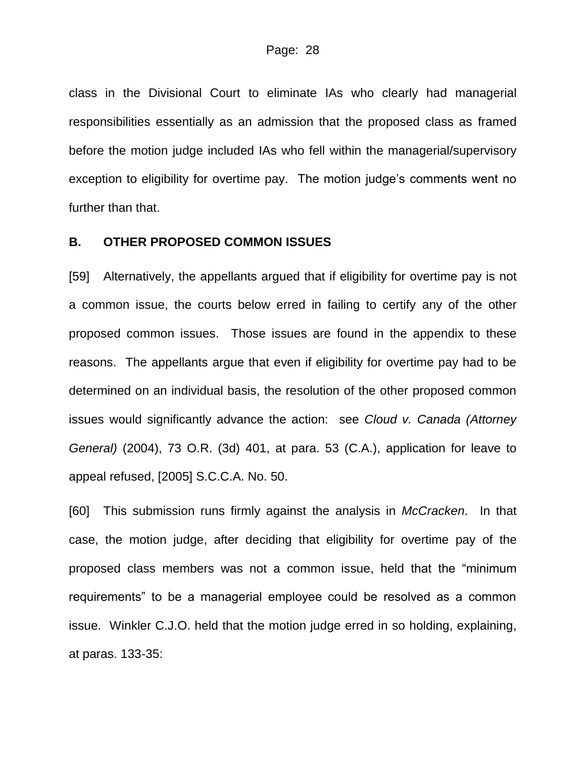class in the Divisional Court to eliminate IAs who clearly had managerial responsibilities essentially as an admission that the proposed class as framed before the motion judge included IAs who fell within the managerial/supervisory exception to eligibility for overtime pay. The motion judge's comments went no further than that.

#### **B. OTHER PROPOSED COMMON ISSUES**

[59] Alternatively, the appellants argued that if eligibility for overtime pay is not a common issue, the courts below erred in failing to certify any of the other proposed common issues. Those issues are found in the appendix to these reasons. The appellants argue that even if eligibility for overtime pay had to be determined on an individual basis, the resolution of the other proposed common issues would significantly advance the action: see *Cloud v. Canada (Attorney General)* (2004), 73 O.R. (3d) 401, at para. 53 (C.A.), application for leave to appeal refused, [2005] S.C.C.A. No. 50.

[60] This submission runs firmly against the analysis in *McCracken*. In that case, the motion judge, after deciding that eligibility for overtime pay of the proposed class members was not a common issue, held that the "minimum requirements" to be a managerial employee could be resolved as a common issue. Winkler C.J.O. held that the motion judge erred in so holding, explaining, at paras. 133-35: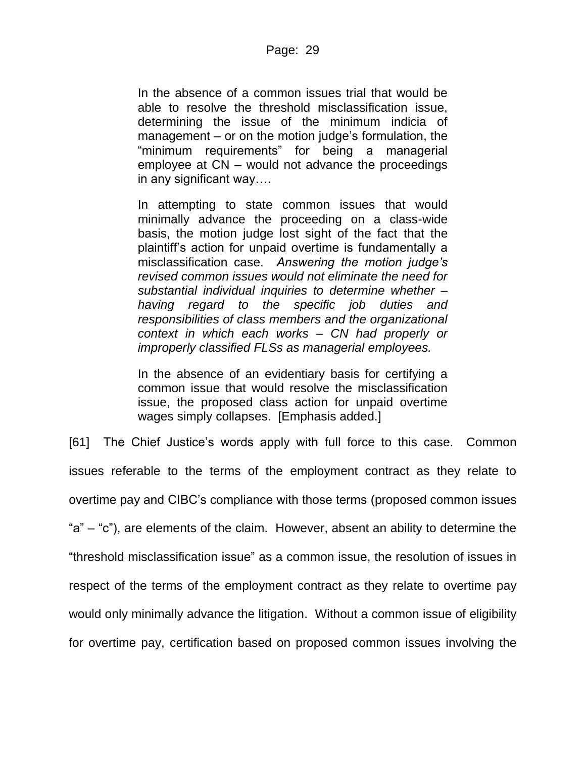In the absence of a common issues trial that would be able to resolve the threshold misclassification issue, determining the issue of the minimum indicia of management – or on the motion judge's formulation, the "minimum requirements" for being a managerial employee at CN – would not advance the proceedings in any significant way….

In attempting to state common issues that would minimally advance the proceeding on a class-wide basis, the motion judge lost sight of the fact that the plaintiff's action for unpaid overtime is fundamentally a misclassification case. *Answering the motion judge's revised common issues would not eliminate the need for substantial individual inquiries to determine whether – having regard to the specific job duties and responsibilities of class members and the organizational context in which each works – CN had properly or improperly classified FLSs as managerial employees.*

In the absence of an evidentiary basis for certifying a common issue that would resolve the misclassification issue, the proposed class action for unpaid overtime wages simply collapses. [Emphasis added.]

[61] The Chief Justice's words apply with full force to this case. Common issues referable to the terms of the employment contract as they relate to overtime pay and CIBC's compliance with those terms (proposed common issues "a" – "c"), are elements of the claim. However, absent an ability to determine the "threshold misclassification issue" as a common issue, the resolution of issues in respect of the terms of the employment contract as they relate to overtime pay would only minimally advance the litigation. Without a common issue of eligibility for overtime pay, certification based on proposed common issues involving the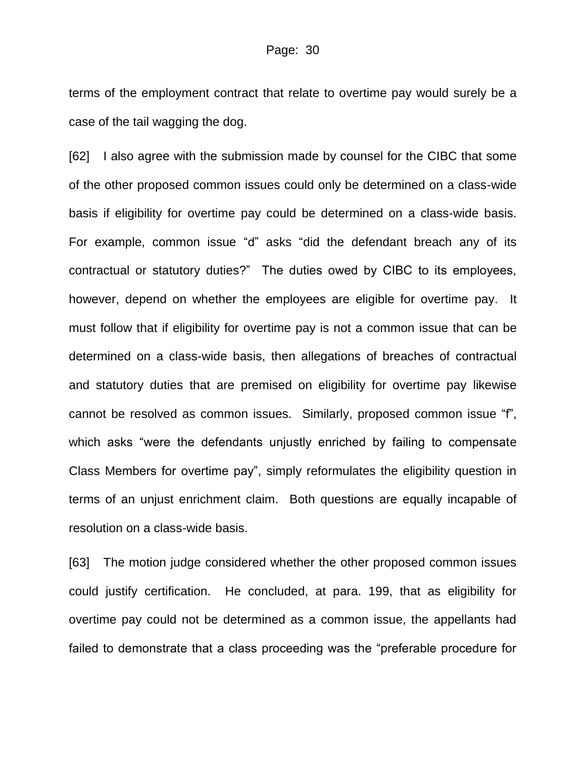terms of the employment contract that relate to overtime pay would surely be a case of the tail wagging the dog.

[62] I also agree with the submission made by counsel for the CIBC that some of the other proposed common issues could only be determined on a class-wide basis if eligibility for overtime pay could be determined on a class-wide basis. For example, common issue "d" asks "did the defendant breach any of its contractual or statutory duties?" The duties owed by CIBC to its employees, however, depend on whether the employees are eligible for overtime pay. It must follow that if eligibility for overtime pay is not a common issue that can be determined on a class-wide basis, then allegations of breaches of contractual and statutory duties that are premised on eligibility for overtime pay likewise cannot be resolved as common issues. Similarly, proposed common issue "f", which asks "were the defendants unjustly enriched by failing to compensate Class Members for overtime pay", simply reformulates the eligibility question in terms of an unjust enrichment claim. Both questions are equally incapable of resolution on a class-wide basis.

[63] The motion judge considered whether the other proposed common issues could justify certification. He concluded, at para. 199, that as eligibility for overtime pay could not be determined as a common issue, the appellants had failed to demonstrate that a class proceeding was the "preferable procedure for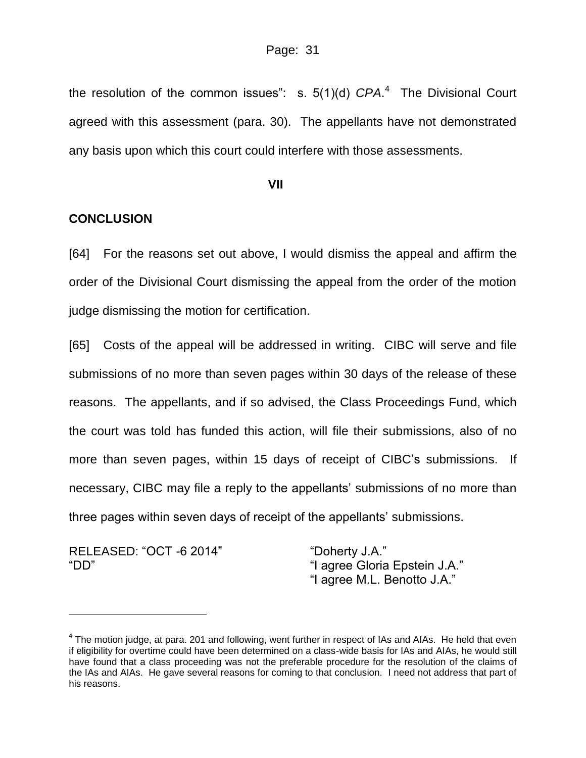the resolution of the common issues": s. 5(1)(d) *CPA*. 4 The Divisional Court agreed with this assessment (para. 30). The appellants have not demonstrated any basis upon which this court could interfere with those assessments.

#### **VII**

### **CONCLUSION**

[64] For the reasons set out above, I would dismiss the appeal and affirm the order of the Divisional Court dismissing the appeal from the order of the motion judge dismissing the motion for certification.

[65] Costs of the appeal will be addressed in writing. CIBC will serve and file submissions of no more than seven pages within 30 days of the release of these reasons. The appellants, and if so advised, the Class Proceedings Fund, which the court was told has funded this action, will file their submissions, also of no more than seven pages, within 15 days of receipt of CIBC's submissions. If necessary, CIBC may file a reply to the appellants' submissions of no more than three pages within seven days of receipt of the appellants' submissions.

RELEASED: "OCT -6 2014" "Doherty J.A."

 $\overline{a}$ 

"DD" "I agree Gloria Epstein J.A." "I agree M.L. Benotto J.A."

 $^4$  The motion judge, at para. 201 and following, went further in respect of IAs and AIAs. He held that even if eligibility for overtime could have been determined on a class-wide basis for IAs and AIAs, he would still have found that a class proceeding was not the preferable procedure for the resolution of the claims of the IAs and AIAs. He gave several reasons for coming to that conclusion. I need not address that part of his reasons.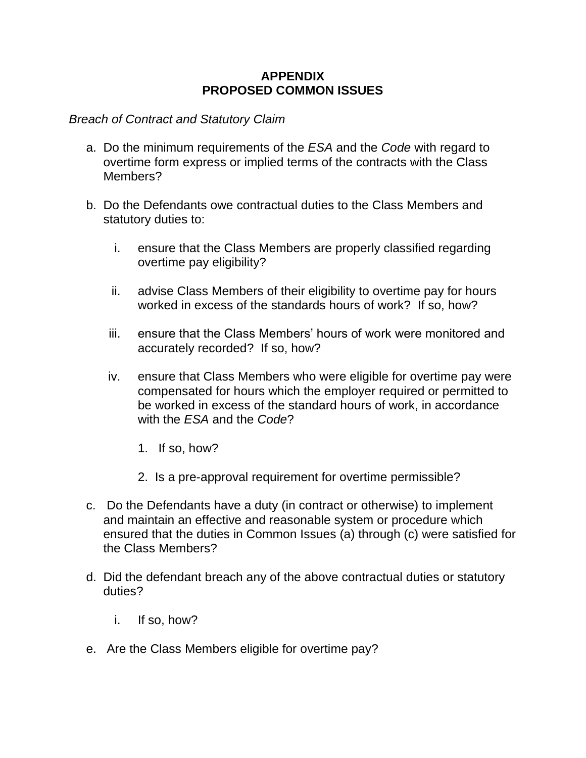# **APPENDIX PROPOSED COMMON ISSUES**

### *Breach of Contract and Statutory Claim*

- a. Do the minimum requirements of the *ESA* and the *Code* with regard to overtime form express or implied terms of the contracts with the Class Members?
- b. Do the Defendants owe contractual duties to the Class Members and statutory duties to:
	- i. ensure that the Class Members are properly classified regarding overtime pay eligibility?
	- ii. advise Class Members of their eligibility to overtime pay for hours worked in excess of the standards hours of work? If so, how?
	- iii. ensure that the Class Members' hours of work were monitored and accurately recorded? If so, how?
	- iv. ensure that Class Members who were eligible for overtime pay were compensated for hours which the employer required or permitted to be worked in excess of the standard hours of work, in accordance with the *ESA* and the *Code*?
		- 1. If so, how?
		- 2. Is a pre-approval requirement for overtime permissible?
- c. Do the Defendants have a duty (in contract or otherwise) to implement and maintain an effective and reasonable system or procedure which ensured that the duties in Common Issues (a) through (c) were satisfied for the Class Members?
- d. Did the defendant breach any of the above contractual duties or statutory duties?
	- i. If so, how?
- e. Are the Class Members eligible for overtime pay?